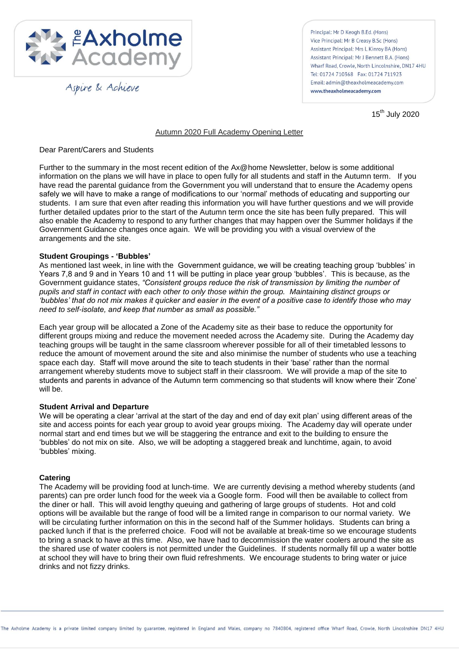

Aspire & Achieve

Principal: Mr D Keogh B.Ed. (Hons) Vice Principal: Mr B Creasy B.Sc (Hons) Assistant Principal: Mrs L Kinroy BA (Hons) Assistant Principal: Mr J Bennett B.A. (Hons) Wharf Road, Crowle, North Lincolnshire, DN17 4HU Tel: 01724 710368 Fax: 01724 711923 Email: admin@theaxholmeacademy.com www.theaxholmeacademy.com

15<sup>th</sup> July 2020

## Autumn 2020 Full Academy Opening Letter

## Dear Parent/Carers and Students

Further to the summary in the most recent edition of the Ax@home Newsletter, below is some additional information on the plans we will have in place to open fully for all students and staff in the Autumn term. If you have read the parental guidance from the Government you will understand that to ensure the Academy opens safely we will have to make a range of modifications to our 'normal' methods of educating and supporting our students. I am sure that even after reading this information you will have further questions and we will provide further detailed updates prior to the start of the Autumn term once the site has been fully prepared. This will also enable the Academy to respond to any further changes that may happen over the Summer holidays if the Government Guidance changes once again. We will be providing you with a visual overview of the arrangements and the site.

## **Student Groupings - 'Bubbles'**

As mentioned last week, in line with the Government guidance, we will be creating teaching group 'bubbles' in Years 7,8 and 9 and in Years 10 and 11 will be putting in place year group 'bubbles'. This is because, as the Government guidance states, *"Consistent groups reduce the risk of transmission by limiting the number of pupils and staff in contact with each other to only those within the group. Maintaining distinct groups or "bubbles" that do not mix makes it quicker and easier in the event of a positive case to identify those who may need to self-isolate, and keep that number as small as possible."*

Each year group will be allocated a Zone of the Academy site as their base to reduce the opportunity for different groups mixing and reduce the movement needed across the Academy site. During the Academy day teaching groups will be taught in the same classroom wherever possible for all of their timetabled lessons to reduce the amount of movement around the site and also minimise the number of students who use a teaching space each day. Staff will move around the site to teach students in their 'base' rather than the normal arrangement whereby students move to subject staff in their classroom. We will provide a map of the site to students and parents in advance of the Autumn term commencing so that students will know where their 'Zone' will be.

#### **Student Arrival and Departure**

We will be operating a clear 'arrival at the start of the day and end of day exit plan' using different areas of the site and access points for each year group to avoid year groups mixing. The Academy day will operate under normal start and end times but we will be staggering the entrance and exit to the building to ensure the 'bubbles' do not mix on site. Also, we will be adopting a staggered break and lunchtime, again, to avoid 'bubbles' mixing.

#### **Catering**

The Academy will be providing food at lunch-time. We are currently devising a method whereby students (and parents) can pre order lunch food for the week via a Google form. Food will then be available to collect from the diner or hall. This will avoid lengthy queuing and gathering of large groups of students. Hot and cold options will be available but the range of food will be a limited range in comparison to our normal variety. We will be circulating further information on this in the second half of the Summer holidays. Students can bring a packed lunch if that is the preferred choice. Food will not be available at break-time so we encourage students to bring a snack to have at this time. Also, we have had to decommission the water coolers around the site as the shared use of water coolers is not permitted under the Guidelines. If students normally fill up a water bottle at school they will have to bring their own fluid refreshments. We encourage students to bring water or juice drinks and not fizzy drinks.